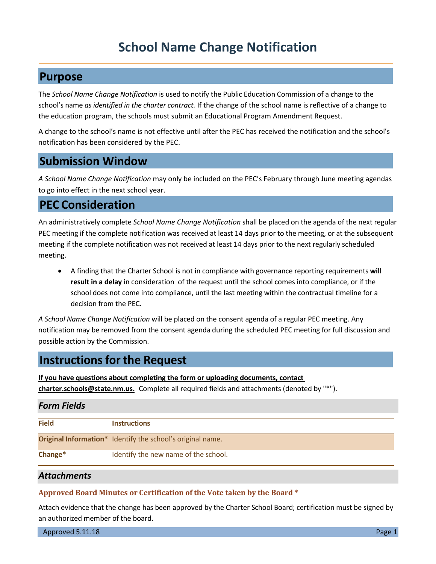# **School Name Change Notification**

### **Purpose**

The *School Name Change Notification* is used to notify the Public Education Commission of a change to the school's name *as identified in the charter contract.* If the change of the school name is reflective of a change to the education program, the schools must submit an Educational Program Amendment Request.

A change to the school's name is not effective until after the PEC has received the notification and the school's notification has been considered by the PEC.

### **Submission Window**

*A School Name Change Notification* may only be included on the PEC's February through June meeting agendas to go into effect in the next school year.

# **PEC Consideration**

An administratively complete *School Name Change Notification* shall be placed on the agenda of the next regular PEC meeting if the complete notification was received at least 14 days prior to the meeting, or at the subsequent meeting if the complete notification was not received at least 14 days prior to the next regularly scheduled meeting.

• A finding that the Charter School is not in compliance with governance reporting requirements **will result in a delay** in consideration of the request until the school comes into compliance, or if the school does not come into compliance, until the last meeting within the contractual timeline for a decision from the PEC.

*A School Name Change Notification* will be placed on the consent agenda of a regular PEC meeting. Any notification may be removed from the consent agenda during the scheduled PEC meeting for full discussion and possible action by the Commission.

# **Instructions for the Request**

**If you have questions about completing the form or uploading documents, contact charter.schools@state.nm.us.** Complete all required fields and attachments (denoted by "\*").

#### *Form Fields*

| <b>Field</b> | <b>Instructions</b>                                               |
|--------------|-------------------------------------------------------------------|
|              | <b>Original Information*</b> Identify the school's original name. |
| Change*      | Identify the new name of the school.                              |

*Attachments*

#### **Approved Board Minutes or Certification of the Vote taken by the Board \***

Attach evidence that the change has been approved by the Charter School Board; certification must be signed by an authorized member of the board.

Approved 5.11.18 **Page 1**